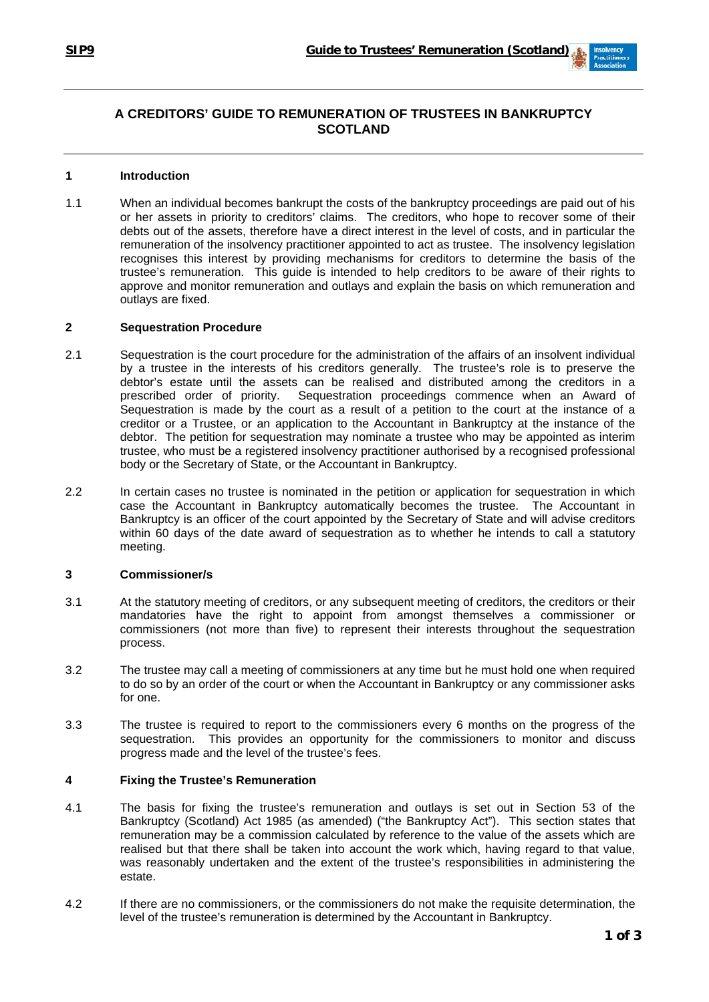# **A CREDITORS' GUIDE TO REMUNERATION OF TRUSTEES IN BANKRUPTCY SCOTLAND**

# **1 Introduction**

1.1 When an individual becomes bankrupt the costs of the bankruptcy proceedings are paid out of his or her assets in priority to creditors' claims. The creditors, who hope to recover some of their debts out of the assets, therefore have a direct interest in the level of costs, and in particular the remuneration of the insolvency practitioner appointed to act as trustee. The insolvency legislation recognises this interest by providing mechanisms for creditors to determine the basis of the trustee's remuneration. This guide is intended to help creditors to be aware of their rights to approve and monitor remuneration and outlays and explain the basis on which remuneration and outlays are fixed.

#### **2 Sequestration Procedure**

- 2.1 Sequestration is the court procedure for the administration of the affairs of an insolvent individual by a trustee in the interests of his creditors generally. The trustee's role is to preserve the debtor's estate until the assets can be realised and distributed among the creditors in a prescribed order of priority. Sequestration proceedings commence when an Award of Sequestration is made by the court as a result of a petition to the court at the instance of a creditor or a Trustee, or an application to the Accountant in Bankruptcy at the instance of the debtor. The petition for sequestration may nominate a trustee who may be appointed as interim trustee, who must be a registered insolvency practitioner authorised by a recognised professional body or the Secretary of State, or the Accountant in Bankruptcy.
- 2.2 In certain cases no trustee is nominated in the petition or application for sequestration in which case the Accountant in Bankruptcy automatically becomes the trustee. The Accountant in Bankruptcy is an officer of the court appointed by the Secretary of State and will advise creditors within 60 days of the date award of sequestration as to whether he intends to call a statutory meeting.

# **3 Commissioner/s**

- 3.1 At the statutory meeting of creditors, or any subsequent meeting of creditors, the creditors or their mandatories have the right to appoint from amongst themselves a commissioner or commissioners (not more than five) to represent their interests throughout the sequestration process.
- 3.2 The trustee may call a meeting of commissioners at any time but he must hold one when required to do so by an order of the court or when the Accountant in Bankruptcy or any commissioner asks for one.
- 3.3 The trustee is required to report to the commissioners every 6 months on the progress of the sequestration. This provides an opportunity for the commissioners to monitor and discuss progress made and the level of the trustee's fees.

# **4 Fixing the Trustee's Remuneration**

- 4.1 The basis for fixing the trustee's remuneration and outlays is set out in Section 53 of the Bankruptcy (Scotland) Act 1985 (as amended) ("the Bankruptcy Act"). This section states that remuneration may be a commission calculated by reference to the value of the assets which are realised but that there shall be taken into account the work which, having regard to that value, was reasonably undertaken and the extent of the trustee's responsibilities in administering the estate.
- 4.2 If there are no commissioners, or the commissioners do not make the requisite determination, the level of the trustee's remuneration is determined by the Accountant in Bankruptcy.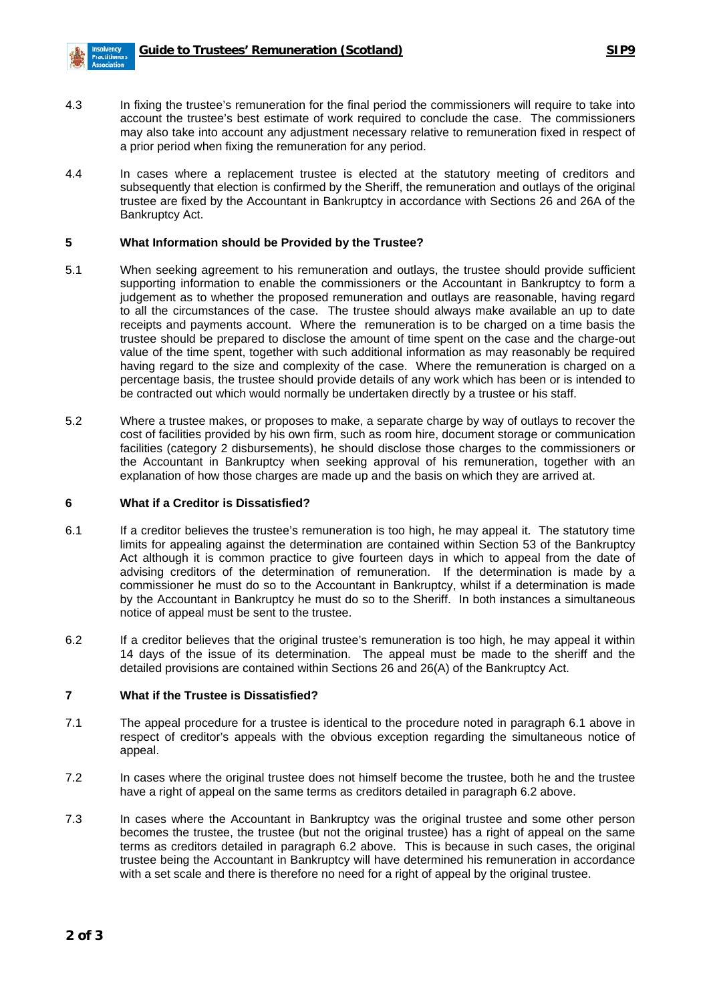

- 4.3 In fixing the trustee's remuneration for the final period the commissioners will require to take into account the trustee's best estimate of work required to conclude the case. The commissioners may also take into account any adjustment necessary relative to remuneration fixed in respect of a prior period when fixing the remuneration for any period.
- 4.4 In cases where a replacement trustee is elected at the statutory meeting of creditors and subsequently that election is confirmed by the Sheriff, the remuneration and outlays of the original trustee are fixed by the Accountant in Bankruptcy in accordance with Sections 26 and 26A of the Bankruptcy Act.

#### **5 What Information should be Provided by the Trustee?**

- 5.1 When seeking agreement to his remuneration and outlays, the trustee should provide sufficient supporting information to enable the commissioners or the Accountant in Bankruptcy to form a judgement as to whether the proposed remuneration and outlays are reasonable, having regard to all the circumstances of the case. The trustee should always make available an up to date receipts and payments account. Where the remuneration is to be charged on a time basis the trustee should be prepared to disclose the amount of time spent on the case and the charge-out value of the time spent, together with such additional information as may reasonably be required having regard to the size and complexity of the case. Where the remuneration is charged on a percentage basis, the trustee should provide details of any work which has been or is intended to be contracted out which would normally be undertaken directly by a trustee or his staff.
- 5.2 Where a trustee makes, or proposes to make, a separate charge by way of outlays to recover the cost of facilities provided by his own firm, such as room hire, document storage or communication facilities (category 2 disbursements), he should disclose those charges to the commissioners or the Accountant in Bankruptcy when seeking approval of his remuneration, together with an explanation of how those charges are made up and the basis on which they are arrived at.

#### **6 What if a Creditor is Dissatisfied?**

- 6.1 If a creditor believes the trustee's remuneration is too high, he may appeal it. The statutory time limits for appealing against the determination are contained within Section 53 of the Bankruptcy Act although it is common practice to give fourteen days in which to appeal from the date of advising creditors of the determination of remuneration. If the determination is made by a commissioner he must do so to the Accountant in Bankruptcy, whilst if a determination is made by the Accountant in Bankruptcy he must do so to the Sheriff. In both instances a simultaneous notice of appeal must be sent to the trustee.
- 6.2 If a creditor believes that the original trustee's remuneration is too high, he may appeal it within 14 days of the issue of its determination. The appeal must be made to the sheriff and the detailed provisions are contained within Sections 26 and 26(A) of the Bankruptcy Act.

#### **7 What if the Trustee is Dissatisfied?**

- 7.1 The appeal procedure for a trustee is identical to the procedure noted in paragraph 6.1 above in respect of creditor's appeals with the obvious exception regarding the simultaneous notice of appeal.
- 7.2 In cases where the original trustee does not himself become the trustee, both he and the trustee have a right of appeal on the same terms as creditors detailed in paragraph 6.2 above.
- 7.3 In cases where the Accountant in Bankruptcy was the original trustee and some other person becomes the trustee, the trustee (but not the original trustee) has a right of appeal on the same terms as creditors detailed in paragraph 6.2 above. This is because in such cases, the original trustee being the Accountant in Bankruptcy will have determined his remuneration in accordance with a set scale and there is therefore no need for a right of appeal by the original trustee.